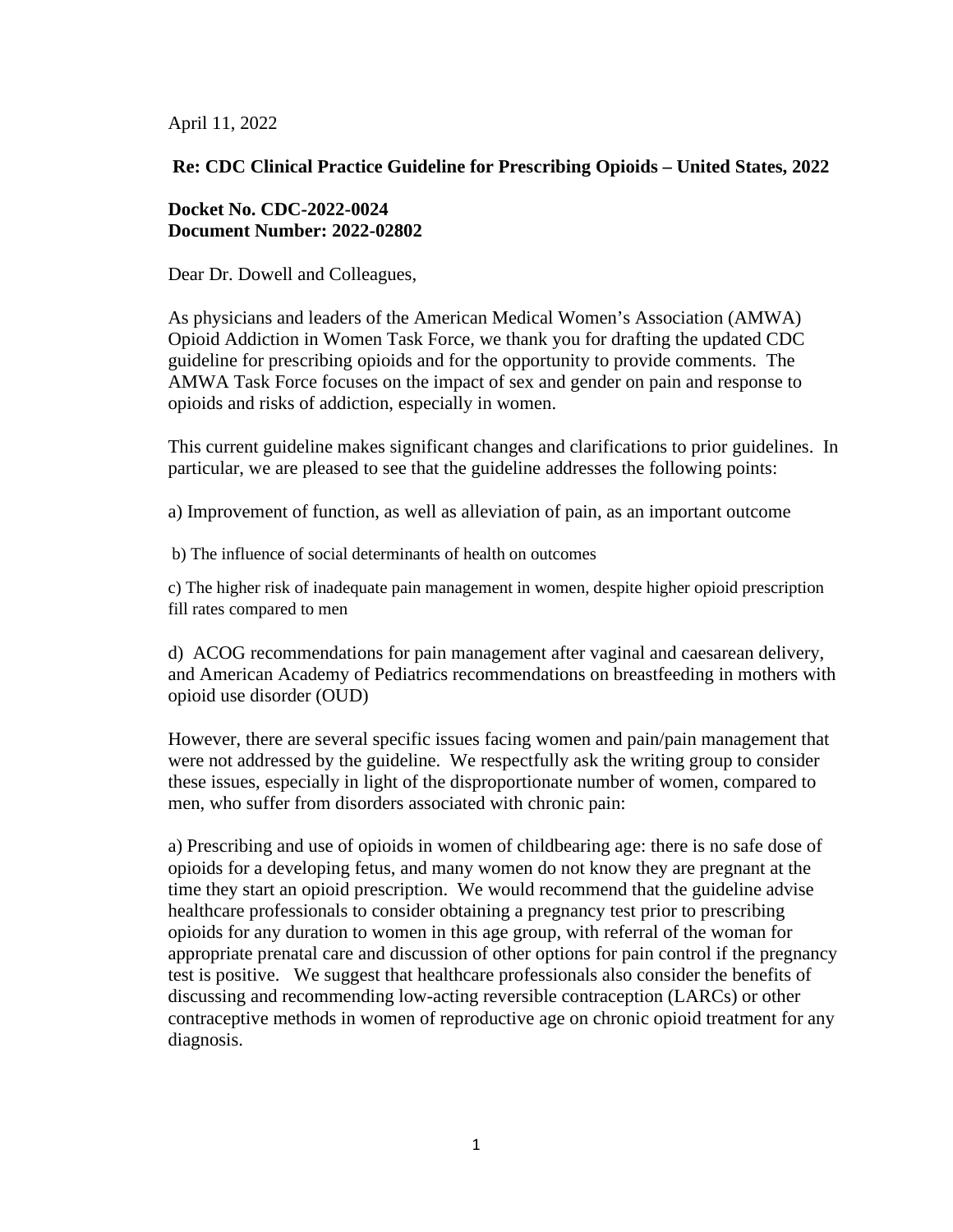April 11, 2022

## **Re: CDC Clinical Practice Guideline for Prescribing Opioids – United States, 2022**

## **Docket No. CDC-2022-0024 Document Number: 2022-02802**

Dear Dr. Dowell and Colleagues,

As physicians and leaders of the American Medical Women's Association (AMWA) Opioid Addiction in Women Task Force, we thank you for drafting the updated CDC guideline for prescribing opioids and for the opportunity to provide comments. The AMWA Task Force focuses on the impact of sex and gender on pain and response to opioids and risks of addiction, especially in women.

This current guideline makes significant changes and clarifications to prior guidelines. In particular, we are pleased to see that the guideline addresses the following points:

a) Improvement of function, as well as alleviation of pain, as an important outcome

b) The influence of social determinants of health on outcomes

c) The higher risk of inadequate pain management in women, despite higher opioid prescription fill rates compared to men

d) ACOG recommendations for pain management after vaginal and caesarean delivery, and American Academy of Pediatrics recommendations on breastfeeding in mothers with opioid use disorder (OUD)

However, there are several specific issues facing women and pain/pain management that were not addressed by the guideline. We respectfully ask the writing group to consider these issues, especially in light of the disproportionate number of women, compared to men, who suffer from disorders associated with chronic pain:

a) Prescribing and use of opioids in women of childbearing age: there is no safe dose of opioids for a developing fetus, and many women do not know they are pregnant at the time they start an opioid prescription. We would recommend that the guideline advise healthcare professionals to consider obtaining a pregnancy test prior to prescribing opioids for any duration to women in this age group, with referral of the woman for appropriate prenatal care and discussion of other options for pain control if the pregnancy test is positive. We suggest that healthcare professionals also consider the benefits of discussing and recommending low-acting reversible contraception (LARCs) or other contraceptive methods in women of reproductive age on chronic opioid treatment for any diagnosis.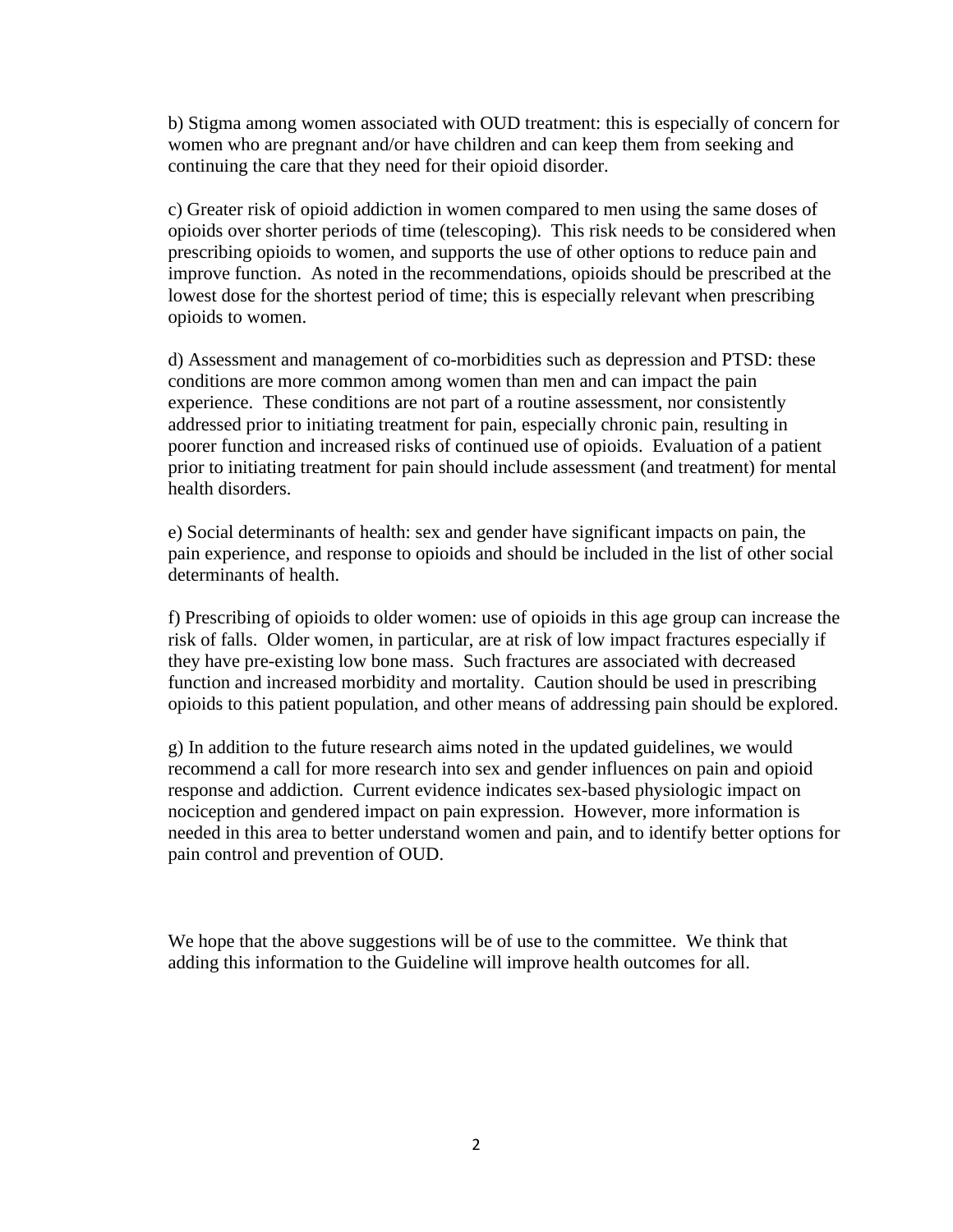b) Stigma among women associated with OUD treatment: this is especially of concern for women who are pregnant and/or have children and can keep them from seeking and continuing the care that they need for their opioid disorder.

c) Greater risk of opioid addiction in women compared to men using the same doses of opioids over shorter periods of time (telescoping). This risk needs to be considered when prescribing opioids to women, and supports the use of other options to reduce pain and improve function. As noted in the recommendations, opioids should be prescribed at the lowest dose for the shortest period of time; this is especially relevant when prescribing opioids to women.

d) Assessment and management of co-morbidities such as depression and PTSD: these conditions are more common among women than men and can impact the pain experience. These conditions are not part of a routine assessment, nor consistently addressed prior to initiating treatment for pain, especially chronic pain, resulting in poorer function and increased risks of continued use of opioids. Evaluation of a patient prior to initiating treatment for pain should include assessment (and treatment) for mental health disorders.

e) Social determinants of health: sex and gender have significant impacts on pain, the pain experience, and response to opioids and should be included in the list of other social determinants of health.

f) Prescribing of opioids to older women: use of opioids in this age group can increase the risk of falls. Older women, in particular, are at risk of low impact fractures especially if they have pre-existing low bone mass. Such fractures are associated with decreased function and increased morbidity and mortality. Caution should be used in prescribing opioids to this patient population, and other means of addressing pain should be explored.

g) In addition to the future research aims noted in the updated guidelines, we would recommend a call for more research into sex and gender influences on pain and opioid response and addiction. Current evidence indicates sex-based physiologic impact on nociception and gendered impact on pain expression. However, more information is needed in this area to better understand women and pain, and to identify better options for pain control and prevention of OUD.

We hope that the above suggestions will be of use to the committee. We think that adding this information to the Guideline will improve health outcomes for all.